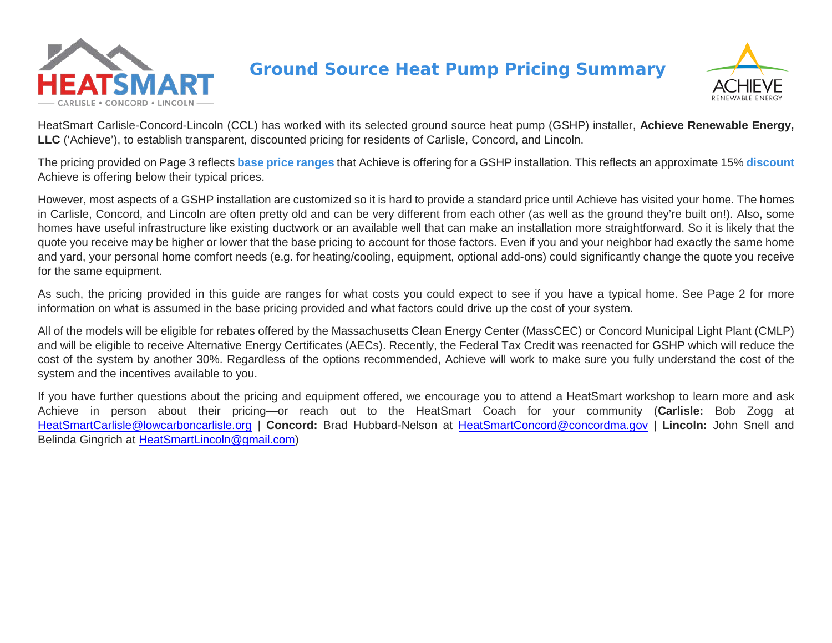

# **Ground Source Heat Pump Pricing Summary**



HeatSmart Carlisle-Concord-Lincoln (CCL) has worked with its selected ground source heat pump (GSHP) installer, **Achieve Renewable Energy, LLC** ('Achieve'), to establish transparent, discounted pricing for residents of Carlisle, Concord, and Lincoln.

The pricing provided on Page 3 reflects **base price ranges** that Achieve is offering for a GSHP installation. This reflects an approximate 15% **discount** Achieve is offering below their typical prices.

However, most aspects of a GSHP installation are customized so it is hard to provide a standard price until Achieve has visited your home. The homes in Carlisle, Concord, and Lincoln are often pretty old and can be very different from each other (as well as the ground they're built on!). Also, some homes have useful infrastructure like existing ductwork or an available well that can make an installation more straightforward. So it is likely that the quote you receive may be higher or lower that the base pricing to account for those factors. Even if you and your neighbor had exactly the same home and yard, your personal home comfort needs (e.g. for heating/cooling, equipment, optional add-ons) could significantly change the quote you receive for the same equipment.

As such, the pricing provided in this guide are ranges for what costs you could expect to see if you have a typical home. See Page 2 for more information on what is assumed in the base pricing provided and what factors could drive up the cost of your system.

All of the models will be eligible for rebates offered by the Massachusetts Clean Energy Center (MassCEC) or Concord Municipal Light Plant (CMLP) and will be eligible to receive Alternative Energy Certificates (AECs). Recently, the Federal Tax Credit was reenacted for GSHP which will reduce the cost of the system by another 30%. Regardless of the options recommended, Achieve will work to make sure you fully understand the cost of the system and the incentives available to you.

If you have further questions about the pricing and equipment offered, we encourage you to attend a HeatSmart workshop to learn more and ask Achieve in person about their pricing—or reach out to the HeatSmart Coach for your community (**Carlisle:** Bob Zogg at [HeatSmartCarlisle@lowcarboncarlisle.org](mailto:HeatSmartCarlisle@lowcarboncarlisle.org) | **Concord:** Brad Hubbard-Nelson at [HeatSmartConcord@concordma.gov](mailto:HeatSmartConcord@concordma.gov) | **Lincoln:** John Snell and Belinda Gingrich at [HeatSmartLincoln@gmail.com\)](mailto:HeatSmartLincoln@gmail.com)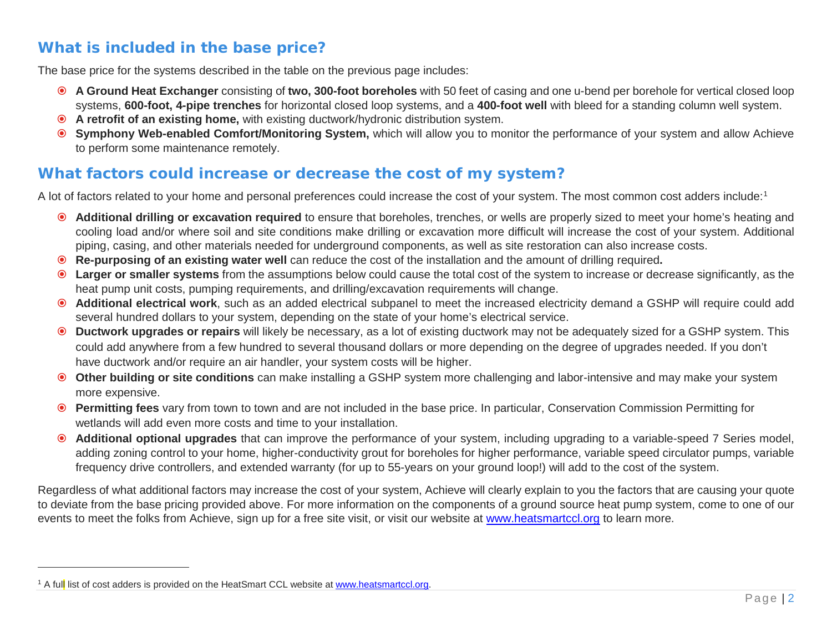## <span id="page-1-0"></span>**What is included in the base price?**

The base price for the systems described in the table on the previous page includes:

- **A Ground Heat Exchanger** consisting of **two, 300-foot boreholes** with 50 feet of casing and one u-bend per borehole for vertical closed loop systems, **600-foot, 4-pipe trenches** for horizontal closed loop systems, and a **400-foot well** with bleed for a standing column well system.
- **A retrofit of an existing home,** with existing ductwork/hydronic distribution system.
- **Symphony Web-enabled Comfort/Monitoring System,** which will allow you to monitor the performance of your system and allow Achieve to perform some maintenance remotely.

## **What factors could increase or decrease the cost of my system?**

A lot of factors related to your home and personal preferences could increase the cost of your system. The most common cost adders include:[1](#page-1-0)

- **Additional drilling or excavation required** to ensure that boreholes, trenches, or wells are properly sized to meet your home's heating and cooling load and/or where soil and site conditions make drilling or excavation more difficult will increase the cost of your system. Additional piping, casing, and other materials needed for underground components, as well as site restoration can also increase costs.
- **Re-purposing of an existing water well** can reduce the cost of the installation and the amount of drilling required**.**
- **Larger or smaller systems** from the assumptions below could cause the total cost of the system to increase or decrease significantly, as the heat pump unit costs, pumping requirements, and drilling/excavation requirements will change.
- **Additional electrical work**, such as an added electrical subpanel to meet the increased electricity demand a GSHP will require could add several hundred dollars to your system, depending on the state of your home's electrical service.
- **Ductwork upgrades or repairs** will likely be necessary, as a lot of existing ductwork may not be adequately sized for a GSHP system. This could add anywhere from a few hundred to several thousand dollars or more depending on the degree of upgrades needed. If you don't have ductwork and/or require an air handler, your system costs will be higher.
- **Other building or site conditions** can make installing a GSHP system more challenging and labor-intensive and may make your system more expensive.
- **Permitting fees** vary from town to town and are not included in the base price. In particular, Conservation Commission Permitting for wetlands will add even more costs and time to your installation.
- **Additional optional upgrades** that can improve the performance of your system, including upgrading to a variable-speed 7 Series model, adding zoning control to your home, higher-conductivity grout for boreholes for higher performance, variable speed circulator pumps, variable frequency drive controllers, and extended warranty (for up to 55-years on your ground loop!) will add to the cost of the system.

Regardless of what additional factors may increase the cost of your system, Achieve will clearly explain to you the factors that are causing your quote to deviate from the base pricing provided above. For more information on the components of a ground source heat pump system, come to one of our events to meet the folks from Achieve, sign up for a free site visit, or visit our website at [www.heatsmartccl.org](http://www.heatsmartccl.org/) to learn more.

<sup>&</sup>lt;sup>1</sup> A full list of cost adders is provided on the HeatSmart CCL website a[t www.heatsmartccl.org.](http://www.heatsmartccl.org/)